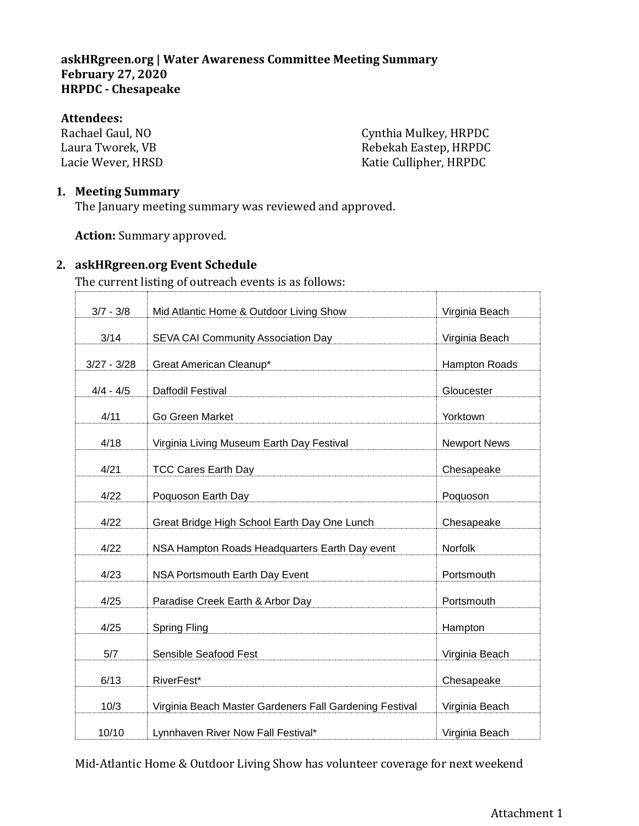#### **Attendees:**

Rachael Gaul, NO Laura Tworek, VB Lacie Wever, HRSD

Cynthia Mulkey, HRPDC Rebekah Eastep, HRPDC Katie Cullipher, HRPDC

## **1. Meeting Summary**

The January meeting summary was reviewed and approved.

**Action:** Summary approved.

#### **2. askHRgreen.org Event Schedule**

The current listing of outreach events is as follows:

| $3/7 - 3/8$   | Mid Atlantic Home & Outdoor Living Show                 | Virginia Beach      |
|---------------|---------------------------------------------------------|---------------------|
| 3/14          | SEVA CAI Community Association Day                      | Virginia Beach      |
| $3/27 - 3/28$ | Great American Cleanup*                                 | Hampton Roads       |
| $4/4 - 4/5$   | Daffodil Festival                                       | Gloucester          |
| 4/11          | Go Green Market                                         | Yorktown            |
| 4/18          | Virginia Living Museum Earth Day Festival               | <b>Newport News</b> |
| 4/21          | <b>TCC Cares Earth Day</b>                              | Chesapeake          |
| 4/22          | Poquoson Earth Day                                      | Poquoson            |
| 4/22          | Great Bridge High School Earth Day One Lunch            | Chesapeake          |
| 4/22          | NSA Hampton Roads Headquarters Earth Day event          | Norfolk             |
| 4/23          | NSA Portsmouth Earth Day Event                          | Portsmouth          |
| 4/25          | Paradise Creek Earth & Arbor Day                        | Portsmouth          |
| 4/25          | <b>Spring Fling</b>                                     | Hampton             |
| 5/7           | Sensible Seafood Fest                                   | Virginia Beach      |
| 6/13          | RiverFest*                                              | Chesapeake          |
| 10/3          | Virginia Beach Master Gardeners Fall Gardening Festival | Virginia Beach      |
| 10/10         | Lynnhaven River Now Fall Festival*                      | Virginia Beach      |

Mid-Atlantic Home & Outdoor Living Show has volunteer coverage for next weekend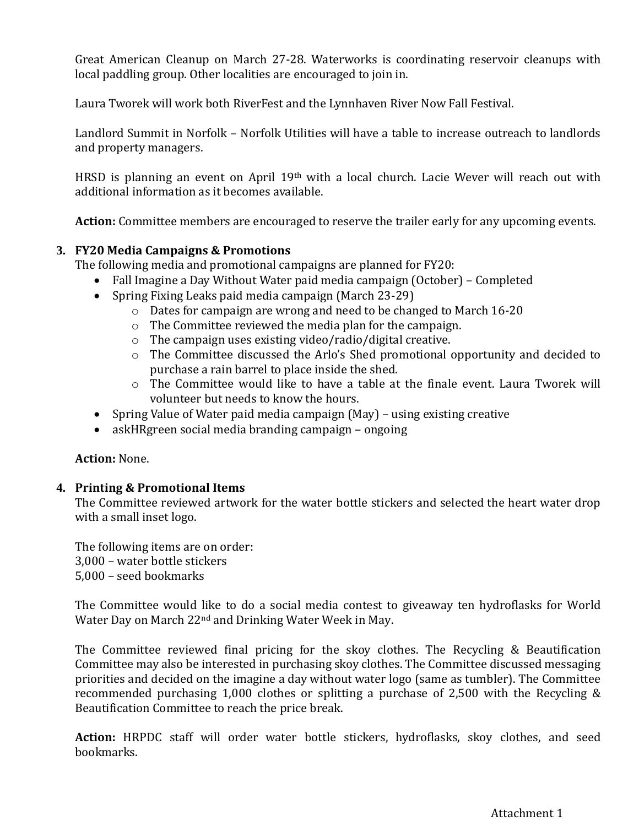Great American Cleanup on March 27-28. Waterworks is coordinating reservoir cleanups with local paddling group. Other localities are encouraged to join in.

Laura Tworek will work both RiverFest and the Lynnhaven River Now Fall Festival.

Landlord Summit in Norfolk – Norfolk Utilities will have a table to increase outreach to landlords and property managers.

HRSD is planning an event on April 19th with a local church. Lacie Wever will reach out with additional information as it becomes available.

**Action:** Committee members are encouraged to reserve the trailer early for any upcoming events.

## **3. FY20 Media Campaigns & Promotions**

The following media and promotional campaigns are planned for FY20:

- Fall Imagine a Day Without Water paid media campaign (October) Completed
- Spring Fixing Leaks paid media campaign (March 23-29)
	- o Dates for campaign are wrong and need to be changed to March 16-20
	- o The Committee reviewed the media plan for the campaign.
	- o The campaign uses existing video/radio/digital creative.
	- o The Committee discussed the Arlo's Shed promotional opportunity and decided to purchase a rain barrel to place inside the shed.
	- o The Committee would like to have a table at the finale event. Laura Tworek will volunteer but needs to know the hours.
- Spring Value of Water paid media campaign (May) using existing creative
- askHRgreen social media branding campaign ongoing

## **Action:** None.

## **4. Printing & Promotional Items**

The Committee reviewed artwork for the water bottle stickers and selected the heart water drop with a small inset logo.

The following items are on order: 3,000 – water bottle stickers 5,000 – seed bookmarks

The Committee would like to do a social media contest to giveaway ten hydroflasks for World Water Day on March 22nd and Drinking Water Week in May.

The Committee reviewed final pricing for the skoy clothes. The Recycling & Beautification Committee may also be interested in purchasing skoy clothes. The Committee discussed messaging priorities and decided on the imagine a day without water logo (same as tumbler). The Committee recommended purchasing 1,000 clothes or splitting a purchase of 2,500 with the Recycling & Beautification Committee to reach the price break.

**Action:** HRPDC staff will order water bottle stickers, hydroflasks, skoy clothes, and seed bookmarks.